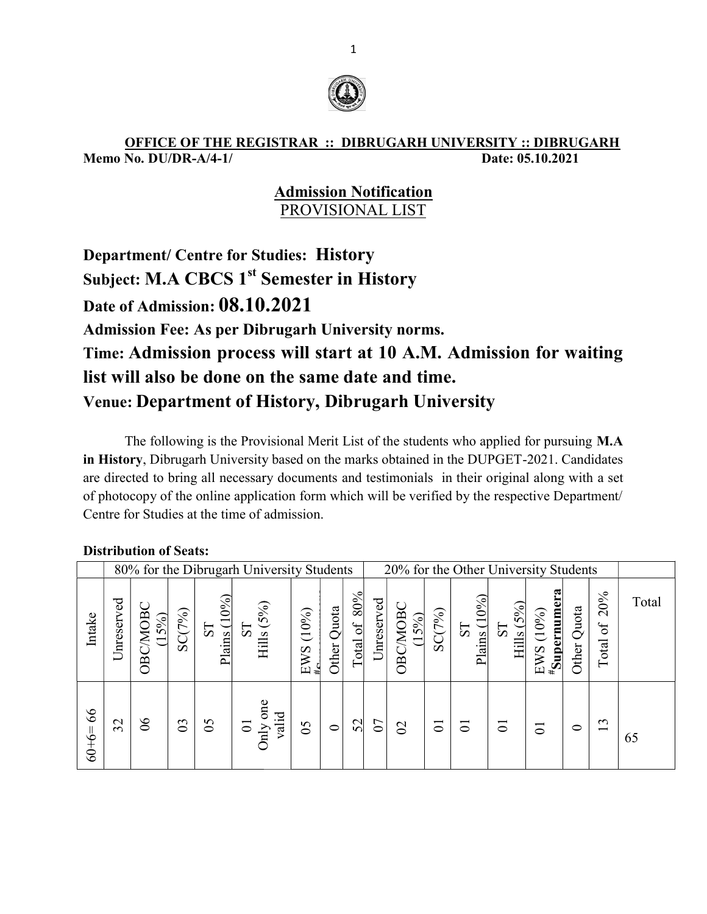

#### OFFICE OF THE REGISTRAR :: DIBRUGARH UNIVERSITY :: DIBRUGARH<br>Memo No. DU/DR-A/4-1/<br>Date: 05.10.2021 Memo No. DU/DR-A/4-1/

#### Admission Notification PROVISIONAL LIST

## Department/ Centre for Studies: History Subject: M.A CBCS 1<sup>st</sup> Semester in History Date of Admission:  $08.10.2021$ Admission Fee: As per Dib brugarh University norms. Time: Admission process will start at 10 A.M. Admission for waiting<br>list will also be done on the same date and time. list will also be done on the same date and time. Venue: Department of History, Dibrugarh University

The following is the Provisional Merit List of the students who applied for pursuing M.A The following is the Provisional Merit List of the students who applied for pursuing M.A in History, Dibrugarh University based on the marks obtained in the DUPGET-2021. Candidates are directed to bring all necessary documents and testimonials in their original along with a set of photocopy of the online application form which will be verified by the respective Department/ Department/ Centre for Studies at the time of admission. 'GET-2021. Candid<br>riginal along with a<br>respective Departm<br>Jniversity Students

|               | 80% for the Dibrugarh University Students<br>20% for the Other University Students |                   |                |                        |                                            |               |                |                                  |            |                           |                    |                                    |                    |                                 |                |                          |       |
|---------------|------------------------------------------------------------------------------------|-------------------|----------------|------------------------|--------------------------------------------|---------------|----------------|----------------------------------|------------|---------------------------|--------------------|------------------------------------|--------------------|---------------------------------|----------------|--------------------------|-------|
| Intake        | Unreserved                                                                         | OBC/MOBC<br>(15%) | SC(7%)         | $10\%$<br>51<br>Plains | (5%)<br>$\overline{\overline{S}}$<br>Hills | (10%)<br>EWS  | Quota<br>Other | 80%<br>$\frac{1}{20}$<br>$Total$ | Unreserved | OBC/MOBC<br>5%)<br>$\Box$ | SC(7%)             | Plains $(10\%)$<br>$5\overline{C}$ | Hills $(5%)$<br>TS | <u> #Supernume</u><br>EWS (10%) | Quota<br>Other | 20%<br>$\sigma$<br>Total | Total |
| 66<br>$60+6=$ | $\mathfrak{L}$                                                                     | $\delta$          | $\mathfrak{S}$ | $\mathcal{S}$          | one<br>valid<br>$\overline{C}$<br>Only     | $\mathcal{S}$ | $\circ$        | 52                               | $\Omega$   | $\Omega$                  | $\overline{\circ}$ | ਠ                                  | $\overline{C}$     | $\overline{C}$                  | $\circ$        | 13                       | 65    |

#### Distribution of Seats: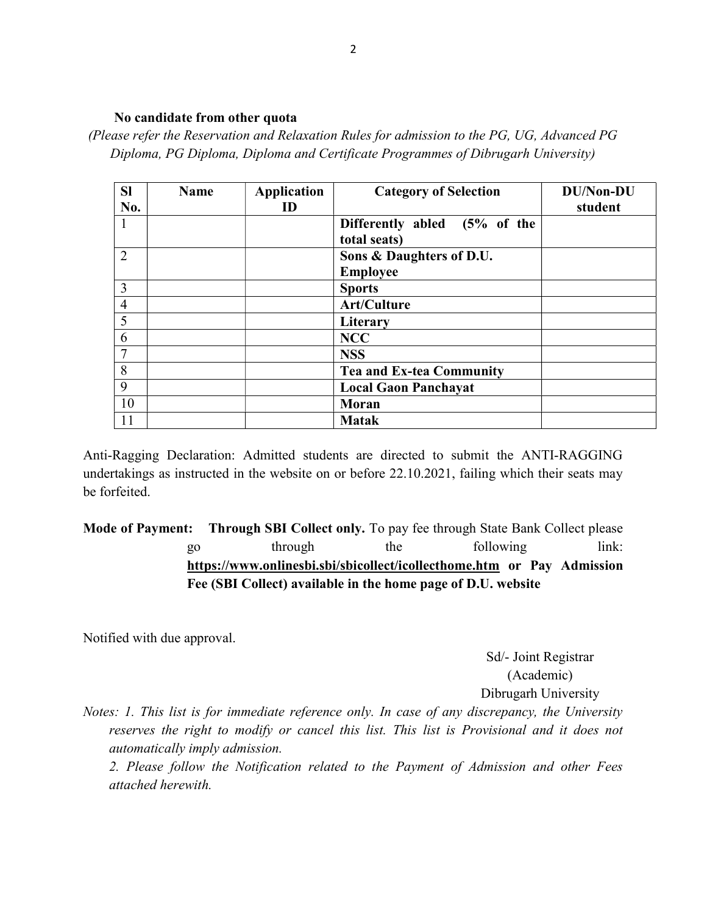#### No candidate from other quota

(Please refer the Reservation and Relaxation Rules for admission to the PG, UG, Advanced PG Diploma, PG Diploma, Diploma and Certificate Programmes of Dibrugarh University)

| <b>SI</b><br>No. | <b>Name</b> | <b>Application</b><br>ID | <b>Category of Selection</b>      | <b>DU/Non-DU</b><br>student |
|------------------|-------------|--------------------------|-----------------------------------|-----------------------------|
|                  |             |                          | $(5%$ of the<br>Differently abled |                             |
|                  |             |                          | total seats)                      |                             |
| $\overline{2}$   |             |                          | Sons & Daughters of D.U.          |                             |
|                  |             |                          | <b>Employee</b>                   |                             |
| 3                |             |                          | <b>Sports</b>                     |                             |
| $\overline{4}$   |             |                          | Art/Culture                       |                             |
| 5                |             |                          | Literary                          |                             |
| 6                |             |                          | <b>NCC</b>                        |                             |
| 7                |             |                          | <b>NSS</b>                        |                             |
| 8                |             |                          | <b>Tea and Ex-tea Community</b>   |                             |
| 9                |             |                          | <b>Local Gaon Panchayat</b>       |                             |
| 10               |             |                          | Moran                             |                             |
| 11               |             |                          | <b>Matak</b>                      |                             |

Anti-Ragging Declaration: Admitted students are directed to submit the ANTI-RAGGING undertakings as instructed in the website on or before 22.10.2021, failing which their seats may be forfeited.

Mode of Payment: Through SBI Collect only. To pay fee through State Bank Collect please go through the following link: https://www.onlinesbi.sbi/sbicollect/icollecthome.htm or Pay Admission Fee (SBI Collect) available in the home page of D.U. website

Notified with due approval.

Sd/- Joint Registrar (Academic) Dibrugarh University

Notes: 1. This list is for immediate reference only. In case of any discrepancy, the University reserves the right to modify or cancel this list. This list is Provisional and it does not automatically imply admission.

2. Please follow the Notification related to the Payment of Admission and other Fees attached herewith.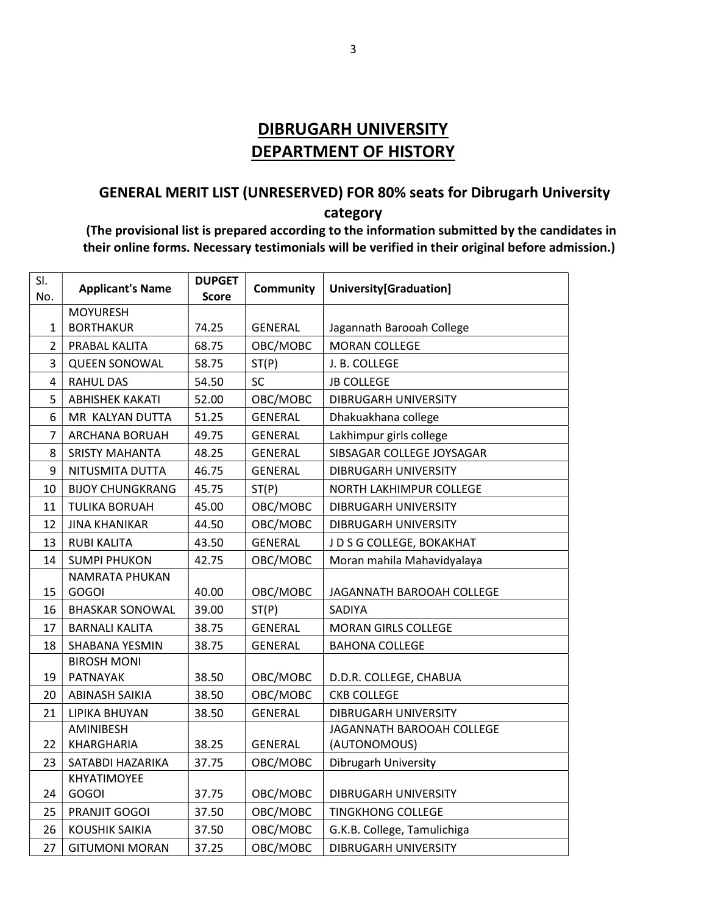## DIBRUGARH UNIVERSITY DEPARTMENT OF HISTORY

## GENERAL MERIT LIST (UNRESERVED) FOR 80% seats for Dibrugarh University category

 (The provisional list is prepared according to the information submitted by the candidates in their online forms. Necessary testimonials will be verified in their original before admission.)

| SI.<br>No.     | <b>Applicant's Name</b>     | <b>DUPGET</b><br><b>Score</b> | <b>Community</b> | University[Graduation]      |
|----------------|-----------------------------|-------------------------------|------------------|-----------------------------|
|                | <b>MOYURESH</b>             |                               |                  |                             |
| $\mathbf{1}$   | <b>BORTHAKUR</b>            | 74.25                         | <b>GENERAL</b>   | Jagannath Barooah College   |
| $\overline{2}$ | PRABAL KALITA               | 68.75                         | OBC/MOBC         | <b>MORAN COLLEGE</b>        |
| 3              | <b>QUEEN SONOWAL</b>        | 58.75                         | ST(P)            | J. B. COLLEGE               |
| 4              | <b>RAHUL DAS</b>            | 54.50                         | <b>SC</b>        | <b>JB COLLEGE</b>           |
| 5              | <b>ABHISHEK KAKATI</b>      | 52.00                         | OBC/MOBC         | DIBRUGARH UNIVERSITY        |
| 6              | MR KALYAN DUTTA             | 51.25                         | <b>GENERAL</b>   | Dhakuakhana college         |
| 7              | ARCHANA BORUAH              | 49.75                         | <b>GENERAL</b>   | Lakhimpur girls college     |
| 8              | <b>SRISTY MAHANTA</b>       | 48.25                         | <b>GENERAL</b>   | SIBSAGAR COLLEGE JOYSAGAR   |
| 9              | NITUSMITA DUTTA             | 46.75                         | <b>GENERAL</b>   | <b>DIBRUGARH UNIVERSITY</b> |
| 10             | <b>BIJOY CHUNGKRANG</b>     | 45.75                         | ST(P)            | NORTH LAKHIMPUR COLLEGE     |
| 11             | <b>TULIKA BORUAH</b>        | 45.00                         | OBC/MOBC         | <b>DIBRUGARH UNIVERSITY</b> |
| 12             | <b>JINA KHANIKAR</b>        | 44.50                         | OBC/MOBC         | DIBRUGARH UNIVERSITY        |
| 13             | <b>RUBI KALITA</b>          | 43.50                         | <b>GENERAL</b>   | J D S G COLLEGE, BOKAKHAT   |
| 14             | <b>SUMPI PHUKON</b>         | 42.75                         | OBC/MOBC         | Moran mahila Mahavidyalaya  |
|                | NAMRATA PHUKAN              |                               |                  |                             |
| 15             | <b>GOGOI</b>                | 40.00                         | OBC/MOBC         | JAGANNATH BAROOAH COLLEGE   |
| 16             | <b>BHASKAR SONOWAL</b>      | 39.00                         | ST(P)            | <b>SADIYA</b>               |
| 17             | <b>BARNALI KALITA</b>       | 38.75                         | <b>GENERAL</b>   | <b>MORAN GIRLS COLLEGE</b>  |
| 18             | SHABANA YESMIN              | 38.75                         | <b>GENERAL</b>   | <b>BAHONA COLLEGE</b>       |
|                | <b>BIROSH MONI</b>          |                               |                  |                             |
| 19             | PATNAYAK                    | 38.50                         | OBC/MOBC         | D.D.R. COLLEGE, CHABUA      |
| 20             | <b>ABINASH SAIKIA</b>       | 38.50                         | OBC/MOBC         | <b>CKB COLLEGE</b>          |
| 21             | LIPIKA BHUYAN               | 38.50                         | <b>GENERAL</b>   | <b>DIBRUGARH UNIVERSITY</b> |
|                | AMINIBESH                   |                               |                  | JAGANNATH BAROOAH COLLEGE   |
| 22             | KHARGHARIA                  | 38.25                         | <b>GENERAL</b>   | (AUTONOMOUS)                |
| 23             | SATABDI HAZARIKA            | 37.75                         | OBC/MOBC         | Dibrugarh University        |
| 24             | KHYATIMOYEE<br><b>GOGOI</b> | 37.75                         | OBC/MOBC         | DIBRUGARH UNIVERSITY        |
| 25             | PRANJIT GOGOI               | 37.50                         | OBC/MOBC         | <b>TINGKHONG COLLEGE</b>    |
| 26             | <b>KOUSHIK SAIKIA</b>       | 37.50                         | OBC/MOBC         | G.K.B. College, Tamulichiga |
| 27             | <b>GITUMONI MORAN</b>       | 37.25                         | OBC/MOBC         | <b>DIBRUGARH UNIVERSITY</b> |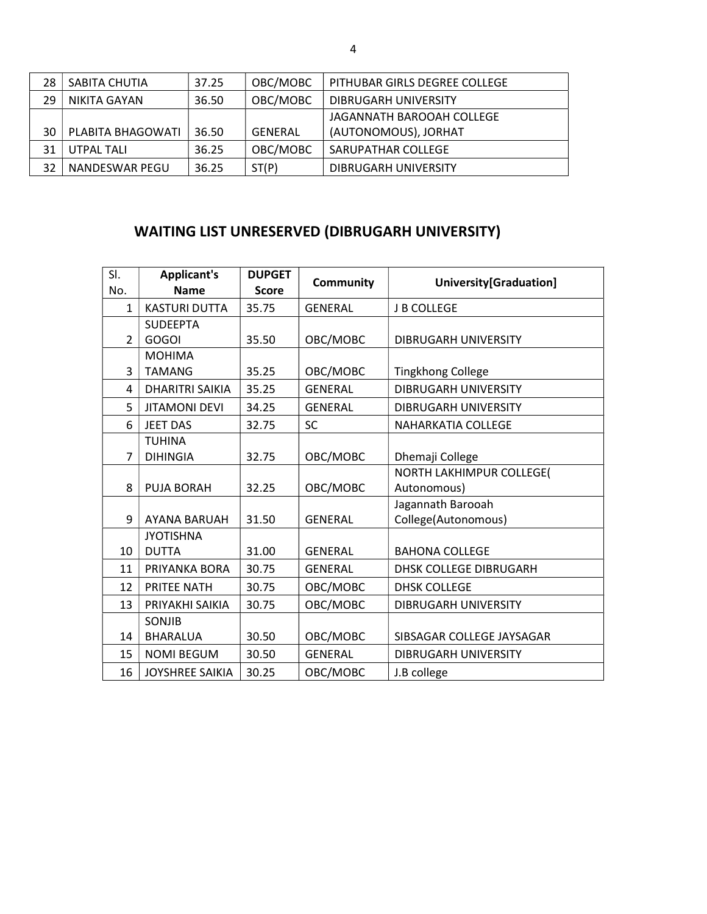| 28 | SABITA CHUTIA       | 37.25 | OBC/MOBC       | PITHUBAR GIRLS DEGREE COLLEGE |
|----|---------------------|-------|----------------|-------------------------------|
| 29 | <b>NIKITA GAYAN</b> | 36.50 | OBC/MOBC       | DIBRUGARH UNIVERSITY          |
|    |                     |       |                | JAGANNATH BAROOAH COLLEGE     |
| 30 | PLABITA BHAGOWATI   | 36.50 | <b>GENERAL</b> | (AUTONOMOUS), JORHAT          |
| 31 | UTPAL TALI          | 36.25 | OBC/MOBC       | SARUPATHAR COLLEGE            |
| 32 | NANDESWAR PEGU      | 36.25 | ST(P)          | DIBRUGARH UNIVERSITY          |

## WAITING LIST UNRESERVED (DIBRUGARH UNIVERSITY)

| SI.            | <b>Applicant's</b>     | <b>DUPGET</b> | <b>Community</b> | University[Graduation]        |
|----------------|------------------------|---------------|------------------|-------------------------------|
| No.            | <b>Name</b>            | <b>Score</b>  |                  |                               |
| $\mathbf{1}$   | <b>KASTURI DUTTA</b>   | 35.75         | <b>GENERAL</b>   | <b>J B COLLEGE</b>            |
|                | <b>SUDEEPTA</b>        |               |                  |                               |
| $\overline{2}$ | <b>GOGOI</b>           | 35.50         | OBC/MOBC         | DIBRUGARH UNIVERSITY          |
|                | <b>MOHIMA</b>          |               |                  |                               |
| 3              | <b>TAMANG</b>          | 35.25         | OBC/MOBC         | <b>Tingkhong College</b>      |
| 4              | <b>DHARITRI SAIKIA</b> | 35.25         | <b>GENERAL</b>   | <b>DIBRUGARH UNIVERSITY</b>   |
| 5              | <b>JITAMONI DEVI</b>   | 34.25         | <b>GENERAL</b>   | DIBRUGARH UNIVERSITY          |
| 6              | <b>JEET DAS</b>        | 32.75         | <b>SC</b>        | <b>NAHARKATIA COLLEGE</b>     |
|                | <b>TUHINA</b>          |               |                  |                               |
| $\overline{7}$ | <b>DIHINGIA</b>        | 32.75         | OBC/MOBC         | Dhemaji College               |
|                |                        |               |                  | NORTH LAKHIMPUR COLLEGE(      |
| 8              | PUJA BORAH             | 32.25         | OBC/MOBC         | Autonomous)                   |
|                |                        |               |                  | Jagannath Barooah             |
| 9              | <b>AYANA BARUAH</b>    | 31.50         | <b>GENERAL</b>   | College(Autonomous)           |
|                | <b>JYOTISHNA</b>       |               |                  |                               |
| 10             | <b>DUTTA</b>           | 31.00         | <b>GENERAL</b>   | <b>BAHONA COLLEGE</b>         |
| 11             | PRIYANKA BORA          | 30.75         | <b>GENERAL</b>   | <b>DHSK COLLEGE DIBRUGARH</b> |
| 12             | <b>PRITEE NATH</b>     | 30.75         | OBC/MOBC         | <b>DHSK COLLEGE</b>           |
| 13             | PRIYAKHI SAIKIA        | 30.75         | OBC/MOBC         | <b>DIBRUGARH UNIVERSITY</b>   |
|                | SONJIB                 |               |                  |                               |
| 14             | <b>BHARALUA</b>        | 30.50         | OBC/MOBC         | SIBSAGAR COLLEGE JAYSAGAR     |
| 15             | <b>NOMI BEGUM</b>      | 30.50         | <b>GENERAL</b>   | DIBRUGARH UNIVERSITY          |
| 16             | <b>JOYSHREE SAIKIA</b> | 30.25         | OBC/MOBC         | J.B college                   |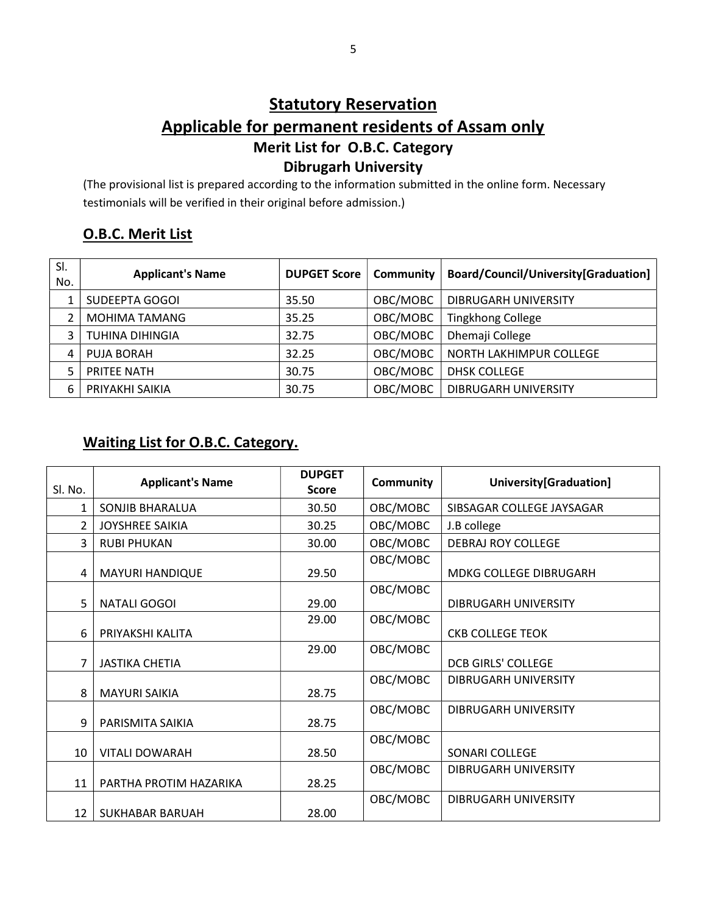## **Statutory Reservation** Applicable for permanent residents of Assam only Merit List for O.B.C. Category Dibrugarh University

(The provisional list is prepared according to the information submitted in the online form. Necessary testimonials will be verified in their original before admission.)

#### O.B.C. Merit List

| SI.<br>No. | <b>Applicant's Name</b> | <b>DUPGET Score</b> | Community | Board/Council/University[Graduation] |
|------------|-------------------------|---------------------|-----------|--------------------------------------|
|            | SUDEEPTA GOGOI          | 35.50               | OBC/MOBC  | DIBRUGARH UNIVERSITY                 |
|            | MOHIMA TAMANG           | 35.25               | OBC/MOBC  | <b>Tingkhong College</b>             |
| 3          | <b>TUHINA DIHINGIA</b>  | 32.75               | OBC/MOBC  | Dhemaji College                      |
| 4          | PUJA BORAH              | 32.25               | OBC/MOBC  | NORTH LAKHIMPUR COLLEGE              |
| 5          | PRITEE NATH             | 30.75               | OBC/MOBC  | <b>DHSK COLLEGE</b>                  |
| 6          | PRIYAKHI SAIKIA         | 30.75               | OBC/MOBC  | DIBRUGARH UNIVERSITY                 |

#### Waiting List for O.B.C. Category.

|         |                         | <b>DUPGET</b> |                  |                           |
|---------|-------------------------|---------------|------------------|---------------------------|
| Sl. No. | <b>Applicant's Name</b> | <b>Score</b>  | <b>Community</b> | University[Graduation]    |
| 1       | SONJIB BHARALUA         | 30.50         | OBC/MOBC         | SIBSAGAR COLLEGE JAYSAGAR |
| 2       | <b>JOYSHREE SAIKIA</b>  | 30.25         | OBC/MOBC         | J.B college               |
| 3       | <b>RUBI PHUKAN</b>      | 30.00         | OBC/MOBC         | <b>DEBRAJ ROY COLLEGE</b> |
| 4       | <b>MAYURI HANDIQUE</b>  | 29.50         | OBC/MOBC         | MDKG COLLEGE DIBRUGARH    |
| 5       | <b>NATALI GOGOI</b>     | 29.00         | OBC/MOBC         | DIBRUGARH UNIVERSITY      |
| 6       | PRIYAKSHI KALITA        | 29.00         | OBC/MOBC         | <b>CKB COLLEGE TEOK</b>   |
| 7       | <b>JASTIKA CHETIA</b>   | 29.00         | OBC/MOBC         | <b>DCB GIRLS' COLLEGE</b> |
| 8       | <b>MAYURI SAIKIA</b>    | 28.75         | OBC/MOBC         | DIBRUGARH UNIVERSITY      |
| 9       | PARISMITA SAIKIA        | 28.75         | OBC/MOBC         | DIBRUGARH UNIVERSITY      |
| 10      | <b>VITALI DOWARAH</b>   | 28.50         | OBC/MOBC         | SONARI COLLEGE            |
| 11      | PARTHA PROTIM HAZARIKA  | 28.25         | OBC/MOBC         | DIBRUGARH UNIVERSITY      |
| 12      | SUKHABAR BARUAH         | 28.00         | OBC/MOBC         | DIBRUGARH UNIVERSITY      |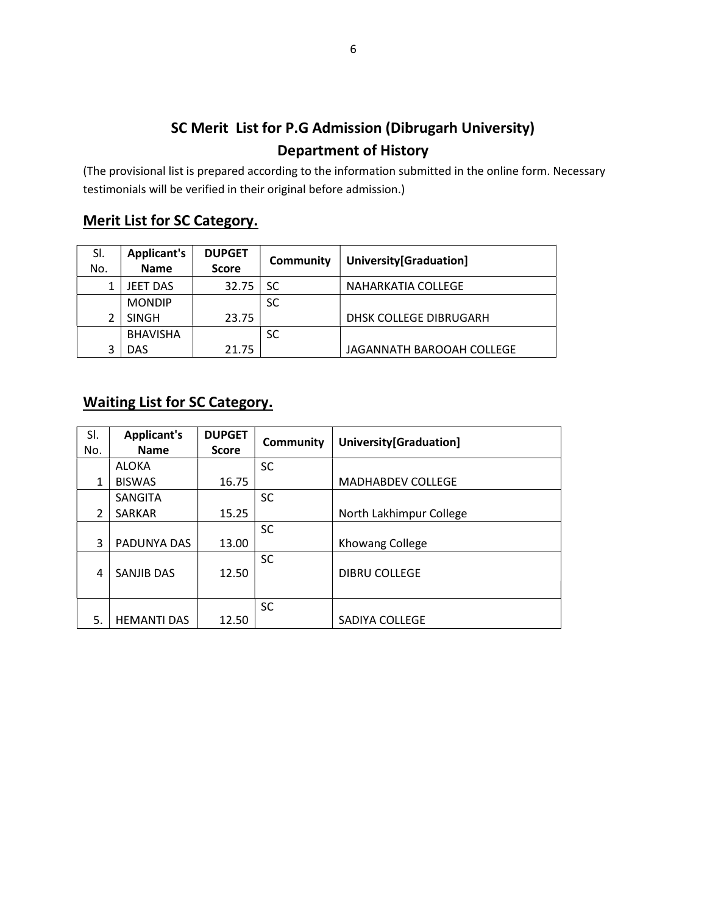## SC Merit List for P.G Admission (Dibrugarh University) Department of History

(The provisional list is prepared according to the information submitted in the online form. Necessary testimonials will be verified in their original before admission.)

#### Merit List for SC Category.

| SI. | <b>Applicant's</b> | <b>DUPGET</b> | Community | University[Graduation]    |  |
|-----|--------------------|---------------|-----------|---------------------------|--|
| No. | <b>Name</b>        | <b>Score</b>  |           |                           |  |
|     | <b>JEET DAS</b>    | 32.75         | SC        | NAHARKATIA COLLEGE        |  |
|     | <b>MONDIP</b>      |               | <b>SC</b> |                           |  |
|     | <b>SINGH</b>       | 23.75         |           | DHSK COLLEGE DIBRUGARH    |  |
|     | <b>BHAVISHA</b>    |               | <b>SC</b> |                           |  |
|     | DAS                | 21.75         |           | JAGANNATH BAROOAH COLLEGE |  |

## Waiting List for SC Category.

| SI.            | <b>Applicant's</b> | <b>DUPGET</b> | Community | University[Graduation]   |
|----------------|--------------------|---------------|-----------|--------------------------|
| No.            | <b>Name</b>        | <b>Score</b>  |           |                          |
|                | <b>ALOKA</b>       |               | <b>SC</b> |                          |
| 1              | <b>BISWAS</b>      | 16.75         |           | <b>MADHABDEV COLLEGE</b> |
|                | SANGITA            |               | <b>SC</b> |                          |
| $\mathfrak{p}$ | <b>SARKAR</b>      | 15.25         |           | North Lakhimpur College  |
|                |                    |               | <b>SC</b> |                          |
| 3              | PADUNYA DAS        | 13.00         |           | Khowang College          |
| 4              | <b>SANJIB DAS</b>  | 12.50         | <b>SC</b> | <b>DIBRU COLLEGE</b>     |
|                |                    |               | <b>SC</b> |                          |
| 5.             | <b>HEMANTI DAS</b> | 12.50         |           | SADIYA COLLEGE           |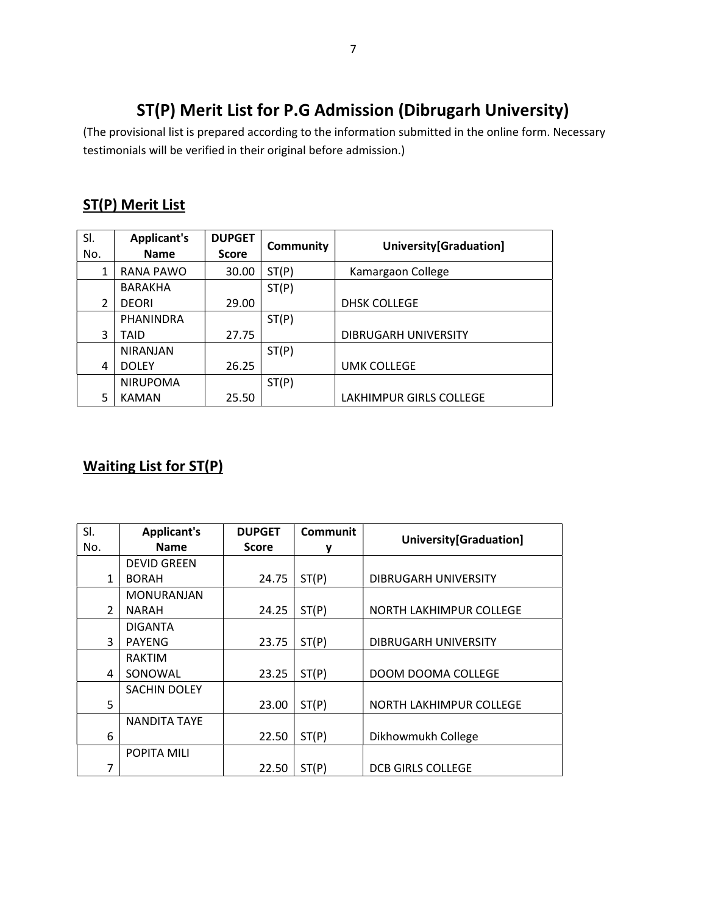## ST(P) Merit List for P.G Admission (Dibrugarh University)

(The provisional list is prepared according to the information submitted in the online form. Necessary testimonials will be verified in their original before admission.)

### ST(P) Merit List

| SI.<br>No.     | <b>Applicant's</b><br><b>Name</b> | <b>DUPGET</b><br><b>Score</b> | <b>Community</b> | University[Graduation]  |
|----------------|-----------------------------------|-------------------------------|------------------|-------------------------|
| 1              | <b>RANA PAWO</b>                  | 30.00                         | ST(P)            | Kamargaon College       |
|                | BARAKHA                           |                               | ST(P)            |                         |
| $\overline{2}$ | <b>DEORI</b>                      | 29.00                         |                  | <b>DHSK COLLEGE</b>     |
|                | PHANINDRA                         |                               | ST(P)            |                         |
| 3              | TAID                              | 27.75                         |                  | DIBRUGARH UNIVERSITY    |
|                | <b>NIRANJAN</b>                   |                               | ST(P)            |                         |
| 4              | <b>DOLEY</b>                      | 26.25                         |                  | <b>UMK COLLEGE</b>      |
|                | <b>NIRUPOMA</b>                   |                               | ST(P)            |                         |
| 5              | <b>KAMAN</b>                      | 25.50                         |                  | LAKHIMPUR GIRLS COLLEGE |

### Waiting List for ST(P)

| SI.            | <b>Applicant's</b>  | <b>DUPGET</b> | <b>Communit</b> | University[Graduation]   |  |
|----------------|---------------------|---------------|-----------------|--------------------------|--|
| No.            | <b>Name</b>         | <b>Score</b>  |                 |                          |  |
|                | <b>DEVID GREEN</b>  |               |                 |                          |  |
| $\mathbf{1}$   | <b>BORAH</b>        | 24.75         | ST(P)           | DIBRUGARH UNIVERSITY     |  |
|                | MONURANJAN          |               |                 |                          |  |
| $\mathfrak{p}$ | <b>NARAH</b>        | 24.25         | ST(P)           | NORTH LAKHIMPUR COLLEGE  |  |
|                | DIGANTA             |               |                 |                          |  |
| 3              | <b>PAYENG</b>       | 23.75         | ST(P)           | DIBRUGARH UNIVERSITY     |  |
|                | <b>RAKTIM</b>       |               |                 |                          |  |
| 4              | SONOWAL             | 23.25         | ST(P)           | DOOM DOOMA COLLEGE       |  |
|                | <b>SACHIN DOLEY</b> |               |                 |                          |  |
| 5              |                     | 23.00         | ST(P)           | NORTH LAKHIMPUR COLLEGE  |  |
|                | <b>NANDITA TAYE</b> |               |                 |                          |  |
| 6              |                     | 22.50         | ST(P)           | Dikhowmukh College       |  |
|                | POPITA MILI         |               |                 |                          |  |
| 7              |                     | 22.50         | ST(P)           | <b>DCB GIRLS COLLEGE</b> |  |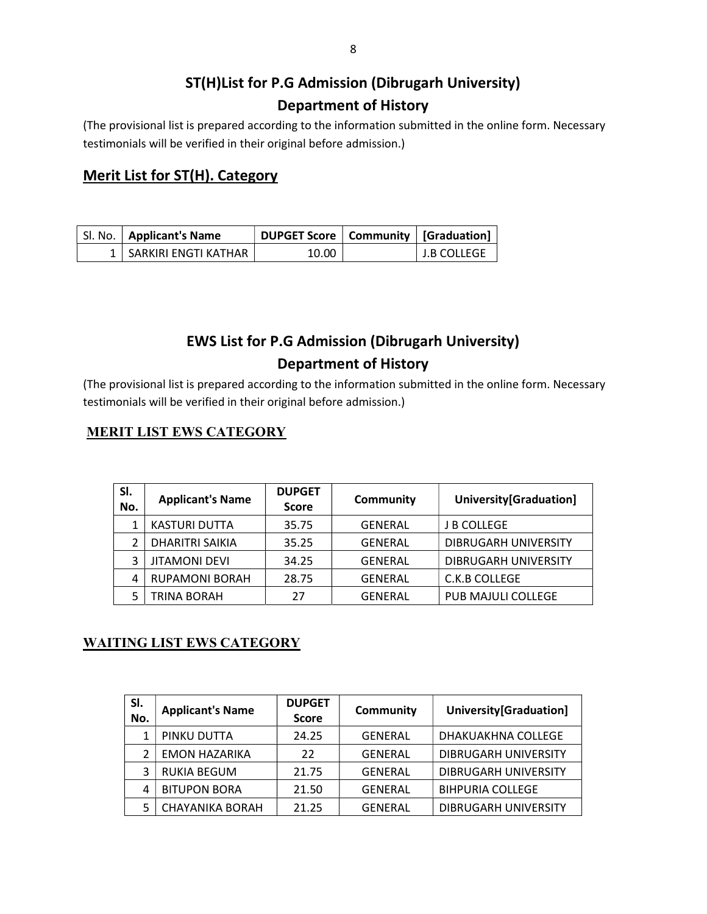## ST(H)List for P.G Admission (Dibrugarh University) Department of History

(The provisional list is prepared according to the information submitted in the online form. Necessary testimonials will be verified in their original before admission.)

#### Merit List for ST(H). Category

| Sl. No.   Applicant's Name | DUPGET Score   Community   [Graduation] |                    |
|----------------------------|-----------------------------------------|--------------------|
| 1   SARKIRI ENGTI KATHAR   | 10.00                                   | <b>J.B COLLEGE</b> |

## EWS List for P.G Admission (Dibrugarh University) Department of History

(The provisional list is prepared according to the information submitted in the online form. Necessary testimonials will be verified in their original before admission.)

#### MERIT LIST EWS CATEGORY

| SI.<br>No. | <b>Applicant's Name</b> | <b>DUPGET</b><br><b>Score</b> | Community      | University[Graduation]      |
|------------|-------------------------|-------------------------------|----------------|-----------------------------|
|            | <b>KASTURI DUTTA</b>    | 35.75                         | <b>GENERAL</b> | <b>J B COLLEGE</b>          |
|            | DHARITRI SAIKIA         | 35.25                         | <b>GENERAL</b> | DIBRUGARH UNIVERSITY        |
| 3          | <b>JITAMONI DEVI</b>    | 34.25                         | <b>GENERAL</b> | <b>DIBRUGARH UNIVERSITY</b> |
| 4          | <b>RUPAMONI BORAH</b>   | 28.75                         | <b>GENERAL</b> | C.K.B COLLEGE               |
|            | TRINA BORAH             | 27                            | <b>GENERAL</b> | PUB MAJULI COLLEGE          |

#### WAITING LIST EWS CATEGORY

| SI.<br>No. | <b>Applicant's Name</b> | <b>DUPGET</b><br><b>Score</b> | <b>Community</b> | University[Graduation]      |
|------------|-------------------------|-------------------------------|------------------|-----------------------------|
| 1          | PINKU DUTTA             | 24.25                         | <b>GENERAL</b>   | DHAKUAKHNA COLLEGE          |
|            | <b>EMON HAZARIKA</b>    | 22                            | <b>GENERAL</b>   | DIBRUGARH UNIVERSITY        |
| 3          | <b>RUKIA BEGUM</b>      | 21.75                         | <b>GENERAL</b>   | <b>DIBRUGARH UNIVERSITY</b> |
| 4          | <b>BITUPON BORA</b>     | 21.50                         | <b>GENERAL</b>   | <b>BIHPURIA COLLEGE</b>     |
| 5          | <b>CHAYANIKA BORAH</b>  | 21.25                         | <b>GENERAL</b>   | DIBRUGARH UNIVERSITY        |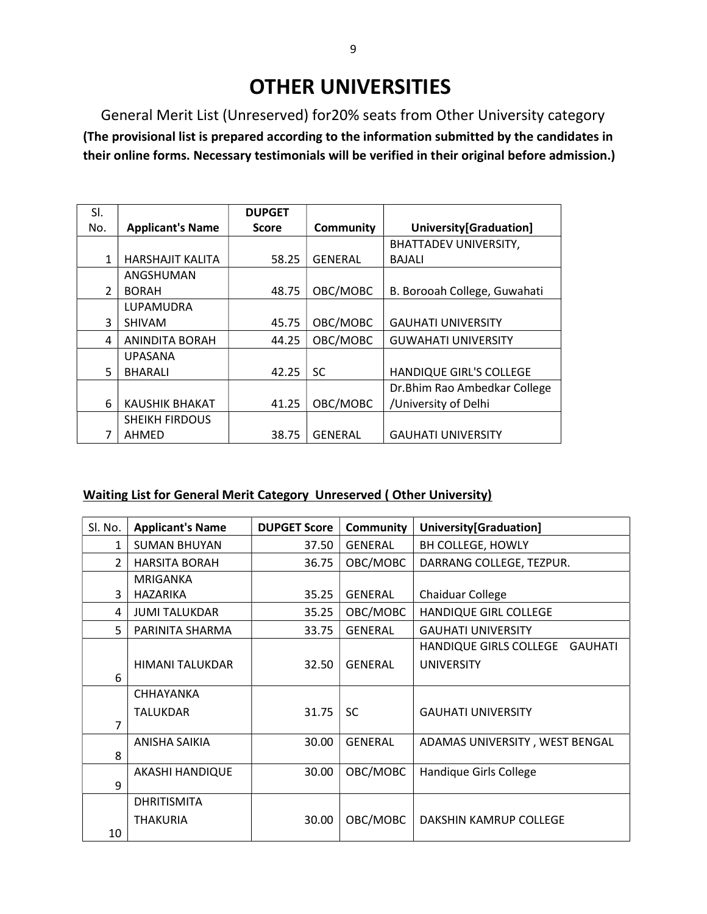# OTHER UNIVERSITIES

General Merit List (Unreserved) for20% seats from Other University category (The provisional list is prepared according to the information submitted by the candidates in their online forms. Necessary testimonials will be verified in their original before admission.)

| SI.           |                         | <b>DUPGET</b> |                |                              |
|---------------|-------------------------|---------------|----------------|------------------------------|
| No.           | <b>Applicant's Name</b> | <b>Score</b>  | Community      | University[Graduation]       |
|               |                         |               |                | <b>BHATTADEV UNIVERSITY,</b> |
| 1             | <b>HARSHAJIT KALITA</b> | 58.25         | <b>GENERAL</b> | <b>BAJALI</b>                |
|               | ANGSHUMAN               |               |                |                              |
| $\mathcal{P}$ | <b>BORAH</b>            | 48.75         | OBC/MOBC       | B. Borooah College, Guwahati |
|               | LUPAMUDRA               |               |                |                              |
| 3             | <b>SHIVAM</b>           | 45.75         | OBC/MOBC       | <b>GAUHATI UNIVERSITY</b>    |
| 4             | <b>ANINDITA BORAH</b>   | 44.25         | OBC/MOBC       | <b>GUWAHATI UNIVERSITY</b>   |
|               | <b>UPASANA</b>          |               |                |                              |
| 5             | <b>BHARALI</b>          | 42.25         | SC             | HANDIQUE GIRL'S COLLEGE      |
|               |                         |               |                | Dr.Bhim Rao Ambedkar College |
| 6             | <b>KAUSHIK BHAKAT</b>   | 41.25         | OBC/MOBC       | /University of Delhi         |
|               | <b>SHEIKH FIRDOUS</b>   |               |                |                              |
| 7             | AHMED                   | 38.75         | <b>GENERAL</b> | <b>GAUHATI UNIVERSITY</b>    |

#### Waiting List for General Merit Category Unreserved ( Other University)

| Sl. No.        | <b>Applicant's Name</b> | <b>DUPGET Score</b> | Community      | University[Graduation]                   |
|----------------|-------------------------|---------------------|----------------|------------------------------------------|
| 1              | <b>SUMAN BHUYAN</b>     | 37.50               | <b>GENERAL</b> | BH COLLEGE, HOWLY                        |
| $\overline{2}$ | <b>HARSITA BORAH</b>    | 36.75               | OBC/MOBC       | DARRANG COLLEGE, TEZPUR.                 |
|                | <b>MRIGANKA</b>         |                     |                |                                          |
| 3              | HAZARIKA                | 35.25               | <b>GENERAL</b> | <b>Chaiduar College</b>                  |
| 4              | <b>JUMI TALUKDAR</b>    | 35.25               | OBC/MOBC       | HANDIQUE GIRL COLLEGE                    |
| 5.             | PARINITA SHARMA         | 33.75               | <b>GENERAL</b> | <b>GAUHATI UNIVERSITY</b>                |
|                |                         |                     |                | HANDIQUE GIRLS COLLEGE<br><b>GAUHATI</b> |
|                | <b>HIMANI TALUKDAR</b>  | 32.50               | <b>GENERAL</b> | <b>UNIVERSITY</b>                        |
| 6              |                         |                     |                |                                          |
|                | <b>CHHAYANKA</b>        |                     |                |                                          |
|                | <b>TALUKDAR</b>         | 31.75               | <b>SC</b>      | <b>GAUHATI UNIVERSITY</b>                |
| $\overline{7}$ |                         |                     |                |                                          |
|                | ANISHA SAIKIA           | 30.00               | <b>GENERAL</b> | ADAMAS UNIVERSITY, WEST BENGAL           |
| 8              |                         |                     |                |                                          |
|                | AKASHI HANDIQUE         | 30.00               | OBC/MOBC       | Handique Girls College                   |
| 9              |                         |                     |                |                                          |
|                | <b>DHRITISMITA</b>      |                     |                |                                          |
|                | <b>THAKURIA</b>         | 30.00               | OBC/MOBC       | DAKSHIN KAMRUP COLLEGE                   |
| 10             |                         |                     |                |                                          |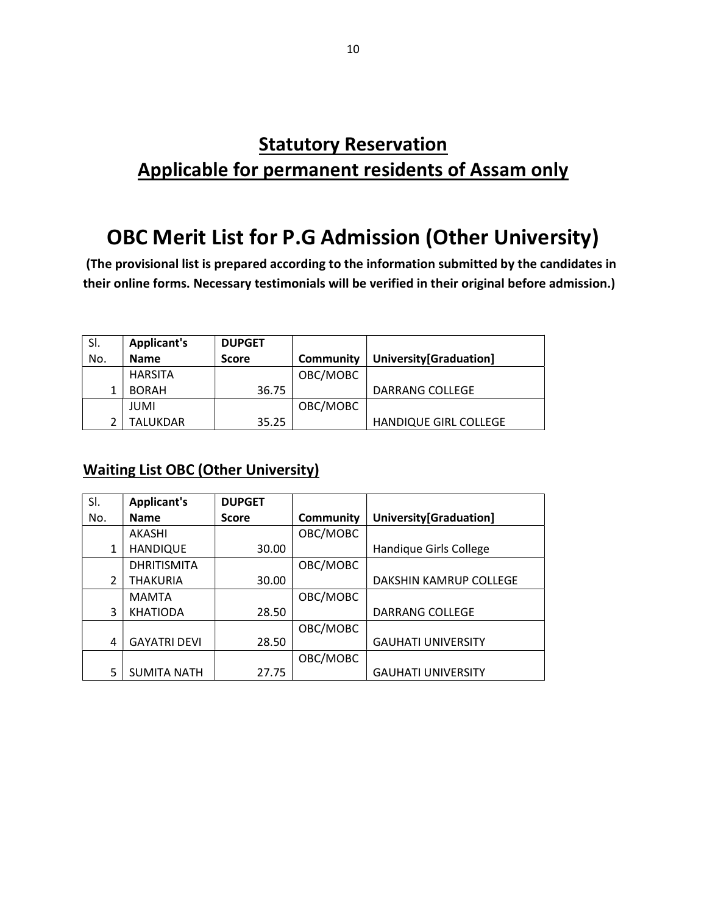## **Statutory Reservation** Applicable for permanent residents of Assam only

# OBC Merit List for P.G Admission (Other University)

 (The provisional list is prepared according to the information submitted by the candidates in their online forms. Necessary testimonials will be verified in their original before admission.)

| SI. | <b>Applicant's</b> | <b>DUPGET</b> |           |                              |
|-----|--------------------|---------------|-----------|------------------------------|
| No. | <b>Name</b>        | <b>Score</b>  | Community | University[Graduation]       |
|     | <b>HARSITA</b>     |               | OBC/MOBC  |                              |
|     | <b>BORAH</b>       | 36.75         |           | DARRANG COLLEGE              |
|     | JUMI               |               | OBC/MOBC  |                              |
|     | TALUKDAR           | 35.25         |           | <b>HANDIQUE GIRL COLLEGE</b> |

#### Waiting List OBC (Other University)

| SI.           | <b>Applicant's</b>  | <b>DUPGET</b> |                  |                           |
|---------------|---------------------|---------------|------------------|---------------------------|
| No.           | <b>Name</b>         | <b>Score</b>  | <b>Community</b> | University[Graduation]    |
|               | <b>AKASHI</b>       |               | OBC/MOBC         |                           |
| 1             | <b>HANDIQUE</b>     | 30.00         |                  | Handique Girls College    |
|               | <b>DHRITISMITA</b>  |               | OBC/MOBC         |                           |
| $\mathcal{P}$ | <b>THAKURIA</b>     | 30.00         |                  | DAKSHIN KAMRUP COLLEGE    |
|               | <b>MAMTA</b>        |               | OBC/MOBC         |                           |
| 3             | <b>KHATIODA</b>     | 28.50         |                  | <b>DARRANG COLLEGE</b>    |
|               |                     |               | OBC/MOBC         |                           |
| 4             | <b>GAYATRI DEVI</b> | 28.50         |                  | <b>GAUHATI UNIVERSITY</b> |
|               |                     |               | OBC/MOBC         |                           |
| 5             | <b>SUMITA NATH</b>  | 27.75         |                  | <b>GAUHATI UNIVERSITY</b> |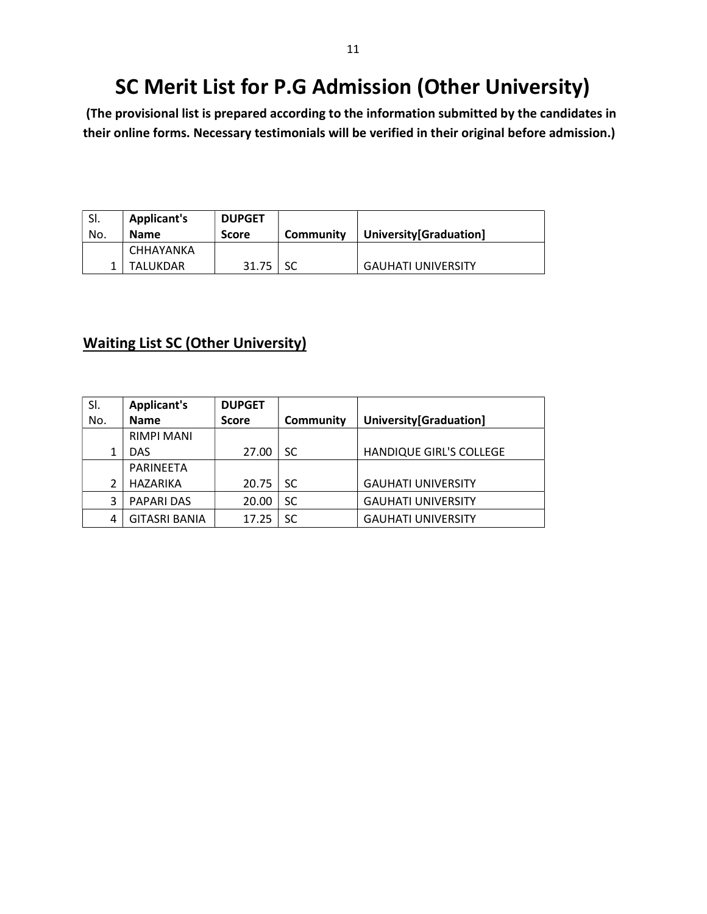# SC Merit List for P.G Admission (Other University)

 (The provisional list is prepared according to the information submitted by the candidates in their online forms. Necessary testimonials will be verified in their original before admission.)

| SI. | <b>Applicant's</b> | <b>DUPGET</b> |           |                           |
|-----|--------------------|---------------|-----------|---------------------------|
| No. | <b>Name</b>        | <b>Score</b>  | Community | University[Graduation]    |
|     | CHHAYANKA          |               |           |                           |
|     | TALUKDAR           | 31.75         |           | <b>GAUHATI UNIVERSITY</b> |

#### Waiting List SC (Other University)

| SI. | <b>Applicant's</b>   | <b>DUPGET</b> |           |                           |
|-----|----------------------|---------------|-----------|---------------------------|
| No. | <b>Name</b>          | <b>Score</b>  | Community | University[Graduation]    |
|     | <b>RIMPI MANI</b>    |               |           |                           |
|     | DAS.                 | 27.00         | SC.       | HANDIQUE GIRL'S COLLEGE   |
|     | <b>PARINEETA</b>     |               |           |                           |
| 2   | <b>HAZARIKA</b>      | 20.75         | <b>SC</b> | <b>GAUHATI UNIVERSITY</b> |
| 3   | <b>PAPARI DAS</b>    | 20.00         | SC.       | <b>GAUHATI UNIVERSITY</b> |
| 4   | <b>GITASRI BANIA</b> | 17.25         | SC.       | <b>GAUHATI UNIVERSITY</b> |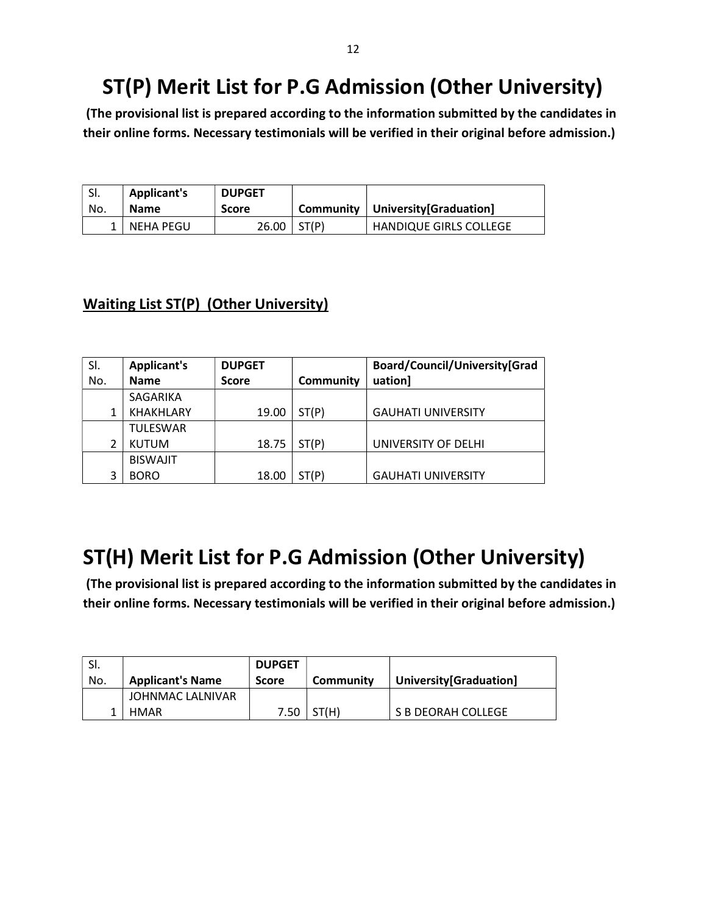# ST(P) Merit List for P.G Admission (Other University)

 (The provisional list is prepared according to the information submitted by the candidates in their online forms. Necessary testimonials will be verified in their original before admission.)

| ' SI. | <b>Applicant's</b> | <b>DUPGET</b> |       |                                     |
|-------|--------------------|---------------|-------|-------------------------------------|
| No.   | <b>Name</b>        | <b>Score</b>  |       | Community   University [Graduation] |
|       | 1   NEHA PEGU      | 26.00         | ST(P) | <b>HANDIQUE GIRLS COLLEGE</b>       |

#### Waiting List ST(P) (Other University)

| SI. | <b>Applicant's</b> | <b>DUPGET</b> |           | Board/Council/University[Grad |
|-----|--------------------|---------------|-----------|-------------------------------|
| No. | <b>Name</b>        | <b>Score</b>  | Community | uation]                       |
|     | SAGARIKA           |               |           |                               |
|     | <b>KHAKHLARY</b>   | 19.00         | ST(P)     | <b>GAUHATI UNIVERSITY</b>     |
|     | <b>TULESWAR</b>    |               |           |                               |
|     | <b>KUTUM</b>       | 18.75         | ST(P)     | UNIVERSITY OF DELHI           |
|     | <b>BISWAJIT</b>    |               |           |                               |
| 3   | <b>BORO</b>        | 18.00         | ST(P)     | <b>GAUHATI UNIVERSITY</b>     |

# ST(H) Merit List for P.G Admission (Other University)

 (The provisional list is prepared according to the information submitted by the candidates in their online forms. Necessary testimonials will be verified in their original before admission.)

| No. | <b>Applicant's Name</b>  | <b>DUPGET</b><br><b>Score</b> | Community | University[Graduation] |
|-----|--------------------------|-------------------------------|-----------|------------------------|
|     | JOHNMAC LALNIVAR<br>HMAR | 7.50                          | ST(H)     | S B DEORAH COLLEGE     |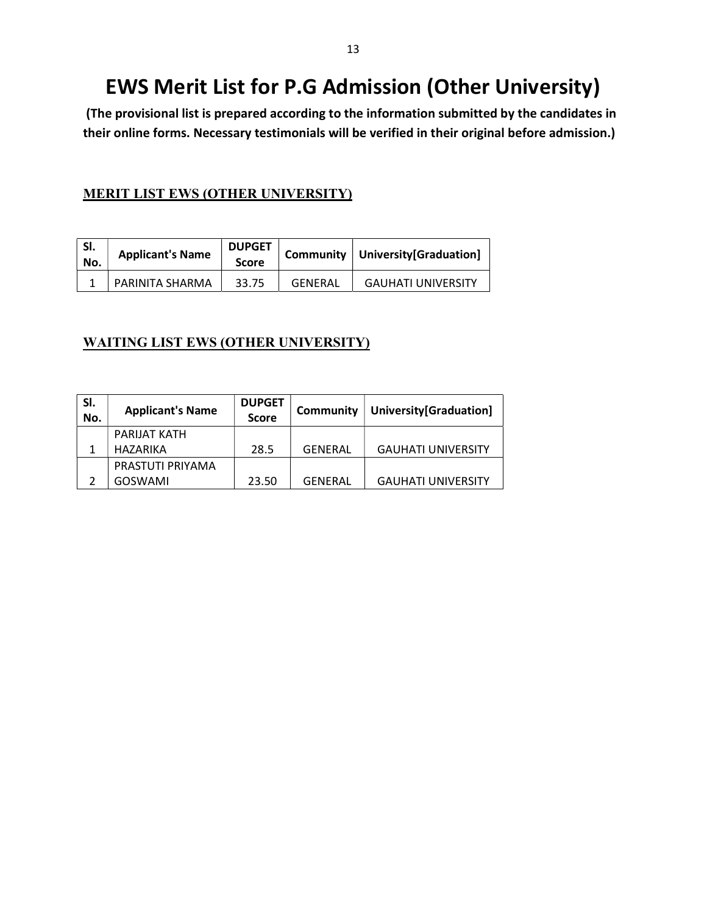# EWS Merit List for P.G Admission (Other University)

 (The provisional list is prepared according to the information submitted by the candidates in their online forms. Necessary testimonials will be verified in their original before admission.)

#### MERIT LIST EWS (OTHER UNIVERSITY)

| SI.<br>No. | <b>Applicant's Name</b> | <b>DUPGET</b><br><b>Score</b> |         | Community   University [Graduation] |
|------------|-------------------------|-------------------------------|---------|-------------------------------------|
|            | PARINITA SHARMA         | 33.75                         | GENERAL | <b>GAUHATI UNIVERSITY</b>           |

#### WAITING LIST EWS (OTHER UNIVERSITY)

| SI.<br>No. | <b>Applicant's Name</b> | <b>DUPGET</b><br><b>Score</b> | Community | University[Graduation]    |
|------------|-------------------------|-------------------------------|-----------|---------------------------|
|            | PARIJAT KATH            |                               |           |                           |
|            | <b>HAZARIKA</b>         | 28.5                          | GENERAL   | <b>GAUHATI UNIVERSITY</b> |
|            | PRASTUTI PRIYAMA        |                               |           |                           |
|            | GOSWAMI                 | 23.50                         | GENERAL   | <b>GAUHATI UNIVERSITY</b> |